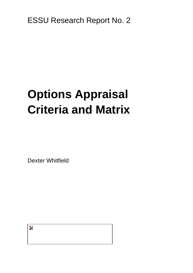ESSU Research Report No. 2

# **Options Appraisal Criteria and Matrix**

Dexter Whitfield

þ.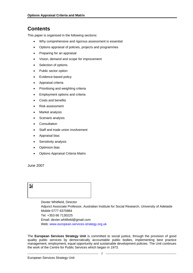## **Contents**

This paper is organised in the following sections:

- Why comprehensive and rigorous assessment is essential
- Options appraisal of policies, projects and programmes
- Preparing for an appraisal
- Vision, demand and scope for improvement
- Selection of options
- Public sector option
- Evidence-based policy
- Appraisal criteria
- Prioritising and weighting criteria
- Employment options and criteria
- Costs and benefits
- Risk assessment
- Market analysis
- Scenario analysis
- Consultation
- Staff and trade union involvement
- Appraisal bias
- Sensitivity analysis
- Optimism bias
- Options Appraisal Criteria Matrix

June 2007



 Dexter Whitfield, Director Adjunct Associate Professor, Australian Institute for Social Research, University of Adelaide

 Mobile 0777 6370884 Tel. +353 66 7130225 Email: dexter.whitfield@gmail.com Web: [www.european-services-strategy.org.uk](http://www.european-services-strategy.org.uk/)

The **European Services Strategy Unit** is committed to social justice, through the provision of good quality public services by democratically accountable public bodies, implementing best practice management, employment, equal opportunity and sustainable development policies. The Unit continues the work of the Centre for Public Services which began in 1973.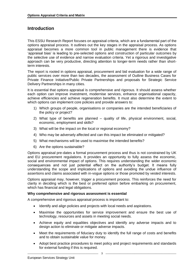### **Introduction**

This ESSU Research Report focuses on appraisal criteria, which are a fundamental part of the options appraisal process. It outlines out the key stages in the appraisal process. As options appraisal becomes a more common tool in public management there is evidence that 'appraisal bias' is leading to pre-selected options and construction of particular outcomes by the selective use of evidence and narrow evaluation criteria. Yet a rigorous and investigative approach can be very productive, directing attention to longer-term needs rather than shortterm interests.

The report is rooted in options appraisal, procurement and bid evaluation for a wide range of public services over more than two decades, the assessment of Outline Business Cases for Private Finance Initiative/Public Private Partnerships and proposals for Strategic Service Delivery Partnerships in many cities.

It is essential that options appraisal is comprehensive and rigorous. It should assess whether each option can improve investment, modernise services, enhance organisational capacity, achieve efficiencies and achieve regeneration benefits. It must also determine the extent to which options can implement core policies and provide answers to:

- 1) Which groups of people, organisations or companies are the intended beneficiaries of the policy or project?
- 2) What type of benefits are planned quality of life, physical environment, social, economic, employment and skills?
- 3) What will be the impact on the local or regional economy?
- 4) Who may be adversely affected and can this impact be eliminated or mitigated?
- 5) What mechanisms will be used to maximise the intended benefits?
- 6) Are the options sustainable?

Options appraisal pre-dates a formal procurement process and thus is not constrained by UK and EU procurement regulations. It provides an opportunity to fully assess the economic, social and environmental impact of options. This requires understanding the wider economic consequences and not just potential effect on the authority's budget. It means fully understanding the scope and implications of options and avoiding the undue influence of assertions and claims associated with in-vogue options or those promoted by vested interests.

Options appraisal may, however, trigger a procurement process. This reinforces the need for clarity in deciding which is the best or preferred option before embarking on procurement, which has financial and legal obligations.

#### **Why comprehensive and rigorous assessment is essential**

A comprehensive and rigorous appraisal process is important to:

- Identify and align policies and projects with local needs and aspirations.
- Maximise the opportunities for service improvement and ensure the best use of technology, resources and assets in meeting social needs.
- Achieve equity and equalities objectives and identify any adverse impacts and to design action to eliminate or mitigate adverse impacts.
- Meet the requirements of fiduciary duty to identify the full range of costs and benefits and to obtain sustainable value for money.
- Adopt best practice procedures to meet policy and project requirements and standards for external funding if this is required.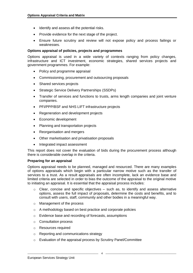- Identify and assess all the potential risks.
- Provide evidence for the next stage of the project.
- Ensure future scrutiny and review will not expose policy and process failings or weaknesses.

#### **Options appraisal of policies, projects and programmes**

Options appraisal is used in a wide variety of contexts ranging from policy changes, infrastructure and ICT investment, economic strategies, shared services projects and government programmes. For example:

- Policy and programme appraisal
- Commissioning, procurement and outsourcing proposals
- Shared services projects
- Strategic Service Delivery Partnerships (SSDPs)
- Transfer of services and functions to trusts, arms length companies and joint venture companies.
- PFI/PPP/BSF and NHS LIFT infrastructure projects
- Regeneration and development projects
- Economic development
- Planning and transportation projects
- Reorganisation and mergers
- Other marketisation and privatisation proposals
- Integrated impact assessment

This report does not cover the evaluation of bids during the procurement process although there is considerable overlap in the criteria.

#### **Preparing for an appraisal**

Options appraisal needs to be planned, managed and resourced. There are many examples of options appraisals which begin with a particular narrow motive such as the transfer of services to a trust. As a result appraisals are often incomplete, lack an evidence base and limited criteria are selected in order to bias the outcome of the appraisal to the original motive to initiating an appraisal. It is essential that the appraisal process includes:

- $\circ$  Clear, concise and specific objectives such as, to identify and assess alternative options, assess the full impact of proposals, determine the costs and benefits, and to consult with users, staff, community and other bodies in a meaningful way.
- o Management of the process
- o A methodology based on best practice and corporate policies
- o Evidence base and recording of forecasts, assumptions
- o Consultation process
- o Resources required
- o Reporting and communications strategy
- o Evaluation of the appraisal process by Scrutiny Panel/Committee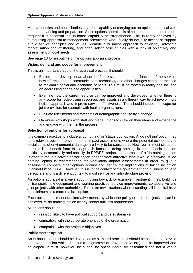Most authorities and public bodies have the capability of carrying out an options appraisal with adequate planning and preparation. Since options appraisal is almost certain to become more frequent it is essential that in-house capability be strengthened. This is rarely achieved by outsourcing appraisal to management consultants who usually do not fully accept or support public service principles and values, promote a business approach to efficiency, advocate marketisation and offshoring, and often select case studies with a lack of objectivity and assessment of local needs.

See page 13 for an outline of the options appraisal process.

#### **Vision, demand and scope for improvement**

This is an important stage of the appraisal process. It should:

- Explore and develop ideas about the future scope, shape and function of the service, how information and communications technology and other changes can be harnessed to maximize social and economic benefits. This must be rooted in reality and focused on addressing needs and opportunities.
- Examine how the current service can be improved and developed, whether there is any scope for redeploying resources and assets in a different way to achieve a more holistic approach and improve service effectiveness. This should include the scope for joint provision, for example with health organizations.
- Evaluate user needs and forecasts of demographic and lifestyle change.
- Organise workshops with staff and trade unions to draw on their ideas and experience and engage with them in the process.

#### **Selection of options for appraisal**

It is common practice to include a 'do nothing' or 'status quo' option. A 'do nothing' option may be a relevant option in environmental impact assessments where the potential economic and social costs of environmental damage are likely to be substantial. However, in most situations there is little benefit from this approach because 'doing nothing' is not a feasible option politically, economically and socially. In PPP/PFI projects the purpose of a 'do nothing' option is often to make a private sector option appear more attractive than it would otherwise. A 'do nothing' option is recommended for Regulatory Impact Assessments in order to give a baseline to compare other options against and identify the implications of taking no action (Cabinet Office, 2004). However, this is in the context of the government and business drive to deregulate and is a different context to most service and infrastructure provision.

An options appraisal is always about moving forward, for example investment in new buildings or transport, new equipment and working practices, service improvements, collaborative and joint projects with other authorities. There are few situations where standing still is desirable. A 'do minimum' is a more realistic option.

Each option should set out alternative means by which the policy or project objectives can be achieved. A 'do nothing' option clearly cannot fulfil this requirement.

All options should be:

- realistic, likely to have political support and be sustainable;
- compatible with the corporate priorities of the organisation;
- compatible with the project's objectives.

#### **Public sector option**

An in-house option should be developed as standard practice. It should be based on a Service Improvement Plan which sets out a programme of how the service(s) can be improved and developed. It must, however, be a genuine option rigorously assembled and not a vague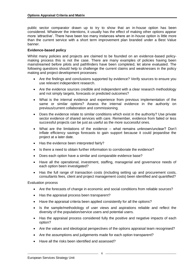public sector comparator drawn up to try to show that an in-house option has been considered. Whatever the intentions, it usually has the effect of making other options appear more 'attractive'. There have been too many instances where an in-house option is little more than the current service with a short term improvement plan branded under a Best Value banner.

#### **Evidence-based policy**

Whilst many policies and projects are claimed to be founded on an evidence-based policymaking process this is not the case. There are many examples of policies having been mainstreamed before pilots and pathfinders have been completed, let alone evaluated. The following questions should help to challenge the current claims and weaknesses in the policy making and project development processes:

- Are the findings and conclusions supported by evidence? Verify sources to ensure you use relevant independent research.
- Are the evidence sources credible and independent with a clear research methodology and not simply targets, forecasts or predicted outcomes?
- What is the internal evidence and experience from previous implementation of the same or similar options? Assess the internal evidence in the authority on previous/current collaboration and commissioning.
- Does the evidence relate to similar conditions which exist in the authority? Use private sector evidence of shared services with care. Remember, evidence from failed or less successful projects can be just as useful as the more successful ones.
- What are the limitations of the evidence what remains unknown/unclear? Don't inflate efficiency savings forecasts to gain support because it could jeopardise the project at a later date.
- Has the evidence been interpreted fairly?
- Is there a need to obtain further information to corroborate the evidence?
- Does each option have a similar and comparable evidence base?
- Have all the operational, investment, staffing, managerial and governance needs of each option been investigated?
- Has the full range of transaction costs (including setting up and procurement costs, consultants fees, client and project management costs) been identified and quantified?

Evaluation process

- Are the forecasts of change in economic and social conditions from reliable sources?
- Has the appraisal process been transparent?
- Have the appraisal criteria been applied consistently for all the options?
- Is the sample/methodology of user views and aspirations reliable and reflect the diversity of the population/service users and potential users.
- Has the appraisal process considered fully the positive and negative impacts of each option?
- Are the values and ideological perspectives of the options appraisal team recognised?
- Are the assumptions and judgements made for each option transparent?
- Have all the risks been identified and assessed?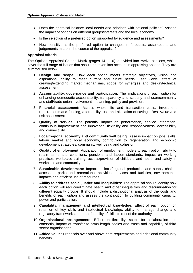- Does the appraisal balance local needs and priorities with national policies? Assess the impact of options on different groups/interests and the local economy.
- Is the selection of a preferred option supported by evidence and assessments?
- How sensitive is the preferred option to changes in forecasts, assumptions and judgements made in the course of the appraisal?

#### **Appraisal criteria**

The Options Appraisal Criteria Matrix (pages  $14 - 16$ ) is divided into twelve sections, which cover the full range of issues that should be taken into account in appraising options. They are summarised below:

- 1. **Design and scope:** How each option meets strategic objectives, vision and aspirations, ability to meet current and future needs, user views, effect of creating/extending market mechanisms, scope for synergies and design/technical assessment.
- 2. **Accountability, governance and participation:** The implications of each option for enhancing democratic accountability, transparency and scrutiny and user/community and staff/trade union involvement in planning, policy and provision.
- 3. **Financial assessment:** Assess whole life and transaction costs, investment requirements and funding, affordability, use and allocation of savings, Best Value and risk assessment.
- 4. **Quality of service:** The potential impact on performance, service integration, continuous improvement and innovation, flexibility and responsiveness, accessibility and connectivity.
- 5. **Local/regional economy and community well being:** Assess impact on jobs, skills, labour market and local economy, contribution to regeneration and economic development strategies, community well being and cohesion.
- 6. **Quality of employment:** Application of employment models to each option, ability to retain terms and conditions, pensions and labour standards, impact on working practices, workplace training, access/provision of childcare and health and safety in workplace and community.
- 7. **Sustainable development:** Impact on local/regional production and supply chains, access to parks and recreational activities, services and facilities, environmental impacts and efficient use of resources.
- 8. **Ability to address social justice and inequalities:** The appraisal should identify how each option will reduce/eliminate health and other inequalities and discrimination for different equality groups. It should include a distributional analysis of the costs and benefits of each option and assess the contribution to building community capacity, power and participation.
- 9. **Capability, management and intellectual knowledge:** Effect of each option on retention of key skills and intellectual knowledge, ability to manage change and regulatory frameworks and transferability of skills to rest of the authority.
- 10. **Organisational arrangements:** Effect on flexibility, scope for collaboration and consortia, impact of transfer to arms length bodies and trusts and capability of third sector organisations.
- 11. **Added value:** Proposals over and above core requirements and additional community benefits.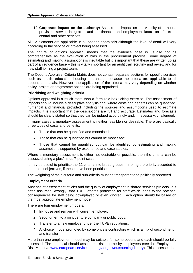12. **Corporate impact on the authority:** Assess the impact on the viability of in-house provision, service integration and the financial and employment knock-on effects on central and other services.

All 12 elements are applicable in all options appraisals although the level of detail will vary according to the service or project being assessed.

The nature of options appraisal means that the evidence base is usually not as comprehensive as the evaluation of bids in the procurement process. Some degree of estimating and making assumptions is inevitable but it is important that these are written up as part of an evidence base – this is vitally important for an audit trail, scrutiny and review and for new staff joining a project team.

The Options Appraisal Criteria Matrix does not contain separate sections for specific services such as health, education, housing or transport because the criteria are applicable to all options appraisals. However, the application of the criteria may vary depending on whether policy, project or programme options are being appraised.

#### **Prioritising and weighting criteria**

Options appraisal is a much more than a formulaic box-ticking exercise. The assessment of impacts should include a descriptive analysis and, where costs and benefits can be quantified, numerical and financial provided including the sources and assumptions used to estimate impacts. It is important that the descriptions are full and accurate. Estimates and forecasts should be clearly stated so that they can be judged accordingly and, if necessary, challenged.

In many cases a monetary assessment is neither feasible nor desirable. There are basically three types of costs and benefits:

- Those that can be quantified and monetised;
- Those that can be quantified but cannot be monetised;
- Those that cannot be quantified but can be identified by estimating and making assumptions supported by experience and case studies.

Where a monetary assessment is either not desirable or possible, then the criteria can be assessed using a plus/minus 7-point scale.

It may be useful to prioritise the 12 criteria into broad groups mirroring the priority accorded to the project objectives, if these have been prioritised.

The weighting of main criteria and sub-criteria must be transparent and politically approved.

#### **Employment criteria**

Absence of assessment of jobs and the quality of employment in shared services projects. It is often assumed, wrongly, that TUPE affords protection for staff which leads to the potential consequences for staff being downplayed or even ignored. Each option should be based on the most appropriate employment model.

There are four employment models:

- 1) In-house and remain with current employer.
- 2) Secondment to a joint venture company or public body.
- 3) Transfer to a new employer under the TUPE regulations.
- 4) A 'choice' model promoted by some private contractors which is a mix of secondment and transfer.

More than one employment model may be suitable for some options and each should be fully assessed. The appraisal should assess the risks borne by employees (see the Employment Risk Matrix at [www.european-services-strategy.org.uk/outsourcing-library\)](http://www.european-services-strategy.org.uk/outsourcing-library). This assesses the: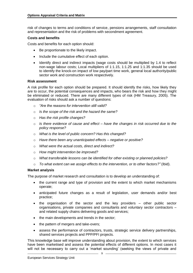risk of changes to terms and conditions of service, pensions arrangements, staff consultation and representation and the risk of problems with secondment agreement.

#### **Costs and benefits**

Costs and benefits for each option should:

- Be proportionate to the likely impact.
- Include the cumulative effect of each option.
- Identify direct and indirect impacts (wage costs should be multiplied by 1.4 to reflect non-wage labour costs; Local multipliers of 1:1.15, 1:1.25 and 1:1.35 should be used to identify the knock-on impact of low pay/part time work, general local authority/public sector work and construction work respectively.

#### **Risk assessment**

A risk profile for each option should be prepared. It should identify the risks, how likely they are to occur, the potential consequences and impacts, who bears the risk and how they might be eliminated or reduced. There are many different types of risk (HM Treasury, 2005). The evaluation of risks should ask a number of questions:

- o *"Are the reasons for intervention still valid?*
- o *Is the scope of the risk and the hazard the same?*
- o *Has the risk profile changes?*
- o *Is there evidence of cause and effect – have the changes in risk occurred due to the policy response?*
- o *What is the level of public concern? Has this changed?*
- o *Have there been any unanticipated effects – negative or positive?*
- o *What were the actual costs, direct and indirect?*
- o *How might intervention be improved?*
- o *What transferable lessons can be identified for other existing or planned policies?*
- o *To what extent can we assign effects to the intervention, or to other factors?"* (Ibid).

#### **Market analysis**

The purpose of market research and consultation is to develop an understanding of:

- the current range and type of provision and the extent to which market mechanisms operate;
- anticipated future changes as a result of legislation, user demands and/or best practice;
- the organisation of the sector and the key providers other public sector organisations, private companies and consultants and voluntary sector contractors – and related supply chains delivering goods and services;
- the main developments and trends in the sector;
- the pattern of mergers and take-overs;
- assess the performance of contractors, trusts, strategic service delivery partnerships, shared services projects and PPP/PFI projects.

This knowledge base will improve understanding about provision, the extent to which services have been marketised and assess the potential effects of different options. In most cases it will not be necessary to carry out a 'market sounding' (seeking the views of private and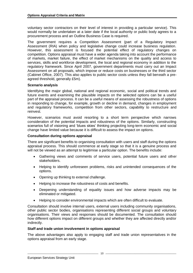voluntary sector contractors on their level of interest in providing a particular service). This would normally be undertaken at a later date if the local authority or public body agrees to a procurement process and an Outline Business Case is required.

The government requires a Competition Assessment (part of a Regulatory Impact Assessment (RIA) when policy and legislative change could increase business regulation. However, this assessment is focused the potential effect of regulatory changes on competition. Options appraisal must have a wider agenda taking into account the performance of markets, market failure, the effect of market mechanisms on the quality and access to services, skills and workforce development, the local and regional economy in addition to the regulatory framework. Since April 2007, government departments must carry out an Impact Assessment on all proposals, which impose or reduce costs on businesses or the third sector (Cabinet Office, 2007). This also applies to public sector costs unless they fall beneath a preagreed threshold, generally £5m).

#### **Scenario analysis**

Identifying the major global, national and regional economic, social and political trends and future events and examining the plausible impacts on the selected options can be a useful part of the appraisal process. It can be a useful means of assessing the robustness of options in responding to change, for example, growth or decline in demand, changes in employment and regulatory frameworks, competition from other sectors, capability to restructure and reinvest.

However, scenarios must avoid resorting to a short term perspective which narrows consideration of the potential impacts and robustness of the options. Similarly, constructing scenarios full of visioning and 'blues skies' thinking projecting long-term economic and social change have limited value because it is difficult to assess the impact on options.

#### **Consultation during options appraisal**

There are significant benefits to organising consultation with users and staff during the options appraisal process. This should commence at early stage so that it is a genuine process and will not be viewed as an attempt to legitimise a particular option. The benefits include:

- Gathering views and comments of service users, potential future users and other stakeholders.
- Helping to identify unforeseen problems, risks and unintended consequences of the options.
- Opening up thinking to external challenge.
- Helping to increase the robustness of costs and benefits.
- Deepening understanding of equality issues and how adverse impacts may be eliminated or mitigated.
- Helping to consider environmental impacts which are often difficult to evaluate.

Consultation should involve internal users, external users including community organisations, other public sector bodies, organisations representing different social groups and voluntary organisations. Their views and responses should be documented. The consultation should how different options impact on different groups and whether they are affected directly and/or indirectly.

#### **Staff and trade union involvement in options appraisal**

The above advantages also apply to engaging staff and trade union representatives in the options appraisal from an early stage.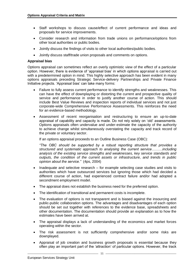- Staff workshops to discuss cause/effect of current performance and ideas and proposals for service improvements.
- Consider research and information from trade unions on performance/options from other local authorities or public bodies.
- Jointly discuss the findings of visits to other local authorities/public bodies.
- Jointly discuss staff/trade union proposals and comments on options.

#### **Appraisal bias**

Options appraisal can sometimes reflect an overly optimistic view of the effect of a particular option. However, there is evidence of 'appraisal bias' in which options appraisal is carried out with a predetermined option in mind. This highly selective approach has been evident in many options appraisals preceding Strategic Service-delivery Partnerships and Private Finance Initiative projects. 'Appraisal bias' can take many forms:

- Failure to fully assess current performance to identify strengths and weaknesses. This can have the effect of downplaying or distorting the current and prospective quality of service and performance in order to justify another course of action. This should include Best Value Reviews and inspection reports of individual services and not just corporate-wide Comprehensive Performance Assessments. This reinforces the need for an evidence-based methodology.
- Assessment of recent reorganisation and restructuring to ensure an up-to-date appraisal of capability and capacity is made. Do not rely solely on 'old' assessments. Options appraisals often undervalue and under-estimate the capacity of the authority to achieve change whilst simultaneously overstating the capacity and track record of the private or voluntary sector.

If an options appraisal proceeds to an Outline Business Case (OBC):

*"The OBC should be supported by a robust reporting structure that provides a structured and systematic approach to analysing the current service………including analysis of the existing service strengths and weaknesses, key service standards and outputs, the condition of the current assets or infrastructure, and trends in public opinion about the service."* (4ps, 2004)

- Inadequate and selective research for example selecting case studies and visits to authorities which have outsourced services but ignoring those which had decided a different course of action, had experienced contract failure and/or had adopted a secondment employment model.
- The appraisal does not establish the business need for the preferred option.
- The identification of transitional and permanent costs is incomplete.
- The evaluation of options is not transparent and is biased against the insourcing and public-public collaboration options. The advantages and disadvantages of each option should be set out together with references to the evidence base, spreadsheets and other documentation. The documentation should provide an explanation as to how the estimates have been arrived at.
- The appraisal displays a lack of understanding of the economics and market forces operating within the sector.
- The risk assessment is not sufficiently comprehensive and/or some risks are downplayed.
- Appraisal of job creation and business growth proposals is essential because they often play an important part of the 'attraction' of particular options. However, the track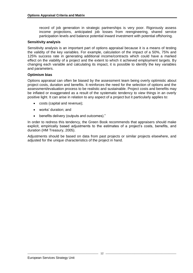record of job generation in strategic partnerships is very poor. Rigorously assess income projections, anticipated job losses from reengineering, shared service participation levels and balance potential inward investment with potential offshoring.

#### **Sensitivity analysis**

Sensitivity analysis is an important part of options appraisal because it is a means of testing the validity of the key variables. For example, calculation of the impact of a 50%, 75% and 125% success rate in generating additional income/contracts which could have a marked effect on the viability of a project and the extent to which it achieved employment targets. By changing each variable and calculating its impact, it is possible to identify the key variables and parameters.

#### **Optimism bias**

Options appraisal can often be biased by the assessment team being overly optimistic about project costs, duration and benefits. It reinforces the need for the selection of options and the assessment/evaluation process to be realistic and sustainable. Project costs and benefits may be inflated or exaggerated as a result of the systematic tendency to view things in an overly positive light. It can arise in relation to any aspect of a project but it particularly applies to:

- costs (capital and revenue);
- works' duration; and
- benefits delivery (outputs and outcomes)."

In order to redress this tendency, the Green Book recommends that appraisers should make explicit, empirically based adjustments to the estimates of a project's costs, benefits, and duration (HM Treasury, 2005).

Adjustments should be based on data from past projects or similar projects elsewhere, and adjusted for the unique characteristics of the project in hand.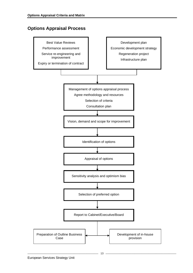## **Options Appraisal Process**

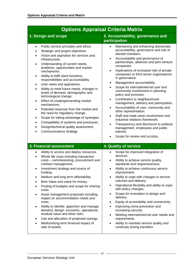| <b>Options Appraisal Criteria Matrix</b>                                                                                                                                                                                                                                                                                                                                                                                                                                                                                                                                                                                                                                                                                                                                                                                                       |                                                                                                                                                                                                                                                                                                                                                                                                                                                                                                                                                                                                                                                                                                                                                                                                                                                                                                       |
|------------------------------------------------------------------------------------------------------------------------------------------------------------------------------------------------------------------------------------------------------------------------------------------------------------------------------------------------------------------------------------------------------------------------------------------------------------------------------------------------------------------------------------------------------------------------------------------------------------------------------------------------------------------------------------------------------------------------------------------------------------------------------------------------------------------------------------------------|-------------------------------------------------------------------------------------------------------------------------------------------------------------------------------------------------------------------------------------------------------------------------------------------------------------------------------------------------------------------------------------------------------------------------------------------------------------------------------------------------------------------------------------------------------------------------------------------------------------------------------------------------------------------------------------------------------------------------------------------------------------------------------------------------------------------------------------------------------------------------------------------------------|
| 1. Design and scope                                                                                                                                                                                                                                                                                                                                                                                                                                                                                                                                                                                                                                                                                                                                                                                                                            | 2. Accountability, governance and<br>participation                                                                                                                                                                                                                                                                                                                                                                                                                                                                                                                                                                                                                                                                                                                                                                                                                                                    |
| Public service principles and ethos.<br>$\bullet$<br>Strategic and project objectives.<br>Vision and aspiration for services and<br>$\bullet$<br>infrastructure.<br>Understanding of current needs,<br>$\bullet$<br>problems, opportunities and market<br>mechanisms.<br>Ability to fulfil client functions,<br>$\bullet$<br>responsibilities and accountability.<br>User views and aspirations.<br>$\bullet$<br>Ability to meet future needs, changes in<br>levels of demand, demographic and<br>technological change.<br>Effect of creating/extending market<br>$\bullet$<br>mechanisms.<br>Potential response from the market and<br>$\bullet$<br>the need for regulatory change.<br>Scope for taking advantage of synergies.<br>Compatibility of systems and processes.<br>Design/technical quality assessment.<br>Communications strategy | Maintaining and enhancing democratic<br>accountability, governance and role of<br>elected members.<br>Accountability and governance of<br>$\bullet$<br>partnerships, alliances and joint venture<br>companies.<br>Implications of increased role of private<br>$\bullet$<br>companies or third sector organisations<br>in governance.<br>Management accountability.<br>$\bullet$<br>Scope for internal/external user and<br>community involvement in planning,<br>policy and provision.<br>Contribution to neighbourhood<br>$\bullet$<br>management, delivery and participation.<br>Accountability of user, community and<br>$\bullet$<br>other representation.<br>Staff and trade union involvement and<br>$\bullet$<br>industrial relations framework.<br>Transparency and disclosure to political,<br>$\bullet$<br>management, employees and public<br>interest.<br>Scope for review and scrutiny. |
| 3. Financial assessment                                                                                                                                                                                                                                                                                                                                                                                                                                                                                                                                                                                                                                                                                                                                                                                                                        | 4. Quality of service                                                                                                                                                                                                                                                                                                                                                                                                                                                                                                                                                                                                                                                                                                                                                                                                                                                                                 |
| Ability to access and deploy resources.<br>Whole life costs including transaction<br>$\bullet$<br>costs - commissioning, procurement and<br>contract management.<br>Investment strategy and source of<br>funding.<br>Medium and long term affordability.<br>$\bullet$<br>Best Value and value for money.<br>Pooling of budgets and scope for sharing<br>$\bullet$<br>costs.<br>Asset management proposals including<br>$\bullet$<br>impact on accommodation needs and<br>costs.<br>Ability to identify, apportion and manage<br>$\bullet$<br>demand, design, economic, operational,<br>residual value and other risks.<br>Use and allocation of projected savings.<br>$\bullet$<br>Medium/long term financial impact of<br>sale of assets.                                                                                                     | Scope for improved integration of<br>$\bullet$<br>services.<br>Ability to achieve service quality,<br>$\bullet$<br>standards and responsiveness.<br>Ability to achieve continuous service<br>improvement.<br>Ability to cope with changes in service<br>$\bullet$<br>volumes and delivery.<br>Operational flexibility and ability to cope<br>$\bullet$<br>with policy changes.<br>Scope for innovation in design and<br>$\bullet$<br>delivery.<br>Equity of accessibility and connectivity.<br>$\bullet$<br>Improving crime prevention and<br>$\bullet$<br>increasing security.<br>Meeting internal/external user needs and<br>$\bullet$<br>requirements.<br>Ability to maintain service quality and<br>$\bullet$<br>continuity during transition.                                                                                                                                                    |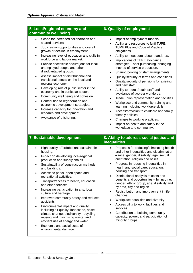| 5. Local/regional economy and<br>community well being                                                                                                                                                                                                                                                                                                                                                                                                                                                                                                                                                                                                                                                                                                                                                 | <b>6. Quality of employment</b>                                                                                                                                                                                                                                                                                                                                                                                                                                                                                                                                                                                                                                                                                                                                                                                                                                                                                                                                                            |
|-------------------------------------------------------------------------------------------------------------------------------------------------------------------------------------------------------------------------------------------------------------------------------------------------------------------------------------------------------------------------------------------------------------------------------------------------------------------------------------------------------------------------------------------------------------------------------------------------------------------------------------------------------------------------------------------------------------------------------------------------------------------------------------------------------|--------------------------------------------------------------------------------------------------------------------------------------------------------------------------------------------------------------------------------------------------------------------------------------------------------------------------------------------------------------------------------------------------------------------------------------------------------------------------------------------------------------------------------------------------------------------------------------------------------------------------------------------------------------------------------------------------------------------------------------------------------------------------------------------------------------------------------------------------------------------------------------------------------------------------------------------------------------------------------------------|
| Scope for increased collaboration and<br>shared services.<br>Job creation opportunities and overall<br>growth or decline in employment.<br>Increasing level of education and skills in<br>$\bullet$<br>workforce and labour market.<br>Provide accessible secure jobs for local<br>$\bullet$<br>unemployed people and other<br>disadvantaged groups.<br>Assess impact of distributional and<br>$\bullet$<br>transitional effects on the local and<br>regional economy.<br>Developing role of public sector in the<br>$\bullet$<br>economy and in particular sectors.<br>Community well being and cohesion.<br>$\bullet$<br>Contribution to regeneration and<br>economic development strategies.<br>Increase capacity for innovation and<br>٠<br>research and development.<br>Avoidance of offshoring. | Impact of employment models.<br>$\bullet$<br>Ability and resources to fulfil TUPE,<br>$\bullet$<br><b>TUPE Plus and Code of Practice</b><br>obligations.<br>Ability to meet core labour standards.<br>$\bullet$<br>Implications of TUPE avoidance<br>$\bullet$<br>strategies - spot purchasing, changing<br>method of service production.<br>Sharing/pooling of staff arrangements.<br>٠<br>Quality/security of terms and conditions.<br>$\bullet$<br>Quality/security of pensions for existing<br>$\bullet$<br>and new staff.<br>Ability to recruit/retain staff and<br>$\bullet$<br>avoidance of two-tier workforce.<br>Trade union representation and facilities.<br>$\bullet$<br>Workplace and community training and<br>$\bullet$<br>learning including workforce skills.<br>Access/provision to childcare and family<br>$\bullet$<br>friendly policies.<br>Changes to working practices.<br>$\bullet$<br>Impact on health and safety in the<br>$\bullet$<br>workplace and community. |
| 7. Sustainable development                                                                                                                                                                                                                                                                                                                                                                                                                                                                                                                                                                                                                                                                                                                                                                            | 8. Ability to address social justice and<br><b>inequalities</b>                                                                                                                                                                                                                                                                                                                                                                                                                                                                                                                                                                                                                                                                                                                                                                                                                                                                                                                            |
| High quality affordable and sustainable<br>$\bullet$<br>housing.<br>Impact on developing local/regional<br>production and supply chains.<br>Sustainability of construction methods<br>and buildings.<br>Access to parks, open space and<br>recreational activities.<br>Transport/access to health, education<br>$\bullet$<br>and other services.<br>Increasing participation in arts, local<br>$\bullet$<br>culture and heritage.<br>Improved community safety and reduced<br>$\bullet$<br>accidents.<br>Environmental impact and quality<br>٠<br>including air quality, landscape, noise,<br>climate change, biodiversity; recycling,<br>reusing and minimising waste, and<br>efficient use of energy and water.<br>Economic and social costs of<br>environmental damage.                            | Proposals for reducing/eliminating health<br>$\bullet$<br>and other inequalities and discrimination<br>- race, gender, disability, age, sexual<br>orientation, religion and belief.<br>Progress in reducing inequalities in<br>$\bullet$<br>health and social care, education,<br>housing and transport.<br>Distributional analysis of costs and<br>$\bullet$<br>benefits and opportunities - by income,<br>gender, ethnic group, age, disability and<br>by area, city and region.<br>Redistribution and improvement in life<br>$\bullet$<br>chances.<br>Workplace equalities and diversity.<br>$\bullet$<br>Accessibility to work, facilities and<br>$\bullet$<br>services.<br>Contribution to building community<br>$\bullet$<br>capacity, power, and participation of<br>minority groups.                                                                                                                                                                                               |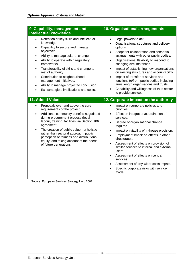| 9. Capability, management and<br>intellectual knowledge                                                                                                                                                                                                                                                                                                                                                                                                                                                               | 10. Organisational arrangements                                                                                                                                                                                                                                                                                                                                                                                                                                                                                                                                                                                                                                         |
|-----------------------------------------------------------------------------------------------------------------------------------------------------------------------------------------------------------------------------------------------------------------------------------------------------------------------------------------------------------------------------------------------------------------------------------------------------------------------------------------------------------------------|-------------------------------------------------------------------------------------------------------------------------------------------------------------------------------------------------------------------------------------------------------------------------------------------------------------------------------------------------------------------------------------------------------------------------------------------------------------------------------------------------------------------------------------------------------------------------------------------------------------------------------------------------------------------------|
| Retention of key skills and intellectual<br>$\bullet$<br>knowledge.<br>Capability to secure and manage<br>$\bullet$<br>objectives.<br>Ability to manage cultural change.<br>$\bullet$<br>Ability to operate within regulatory<br>$\bullet$<br>frameworks.<br>Transferability of skills and change to<br>$\bullet$<br>rest of authority.<br>Contribution to neighbourhood<br>$\bullet$<br>management initiatives.<br>Ability to manage project to conclusion.<br>$\bullet$<br>Exit strategies, implications and costs. | Legal powers to act.<br>$\bullet$<br>Organisational structures and delivery<br>$\bullet$<br>options.<br>Scope for collaboration and consortia<br>$\bullet$<br>arrangements with other public bodies.<br>Organisational flexibility to respond to<br>$\bullet$<br>changing circumstances.<br>Impact of establishing new organisations<br>$\bullet$<br>on existing structures and accountability.<br>Impact of transfer of services and<br>$\bullet$<br>functions to/from public bodies including<br>arms length organisations and trusts.<br>Capability and willingness of third sector<br>to provide services.                                                          |
| 11. Added Value<br>Proposals over and above the core<br>$\bullet$<br>requirements of the project.<br>Additional community benefits negotiated<br>$\bullet$<br>during procurement process (local<br>labour, training, facilities via Section 106<br>agreement).<br>The creation of public value $-$ a holistic<br>$\bullet$<br>rather than sectoral approach, public<br>perception of fairness and distributional<br>equity, and taking account of the needs<br>of future generations.                                 | 12. Corporate impact on the authority<br>Impact on corporate policies and<br>$\bullet$<br>priorities.<br>Effect on integration/coordination of<br>$\bullet$<br>services.<br>Degree of organisational change<br>$\bullet$<br>required.<br>Impact on viability of in-house provision.<br>$\bullet$<br>Employment knock-on effects in other<br>$\bullet$<br>directorates.<br>Assessment of effects on provision of<br>$\bullet$<br>similar services to internal and external<br>users.<br>Assessment of effects on central<br>$\bullet$<br>services.<br>Assessment of any wider costs impact.<br>$\bullet$<br>Specific corporate risks with service<br>$\bullet$<br>model. |

Source: European Services Strategy Unit, 2007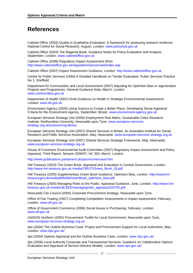# **References**

Cabinet Office (2003) Quality in Qualitative Evaluation: A framework for assessing research evidence, National Centre for Social Research, August, London. [www.policyhub.gov.uk](http://www.policyhub.gov.uk/)

Cabinet Office (2004) The Magenta Book: Guidance Notes for Policy Evaluation and Analysis, September, London. [www.cabinetoffice.gov.uk](http://www.cabinetoffice.gov.uk/)

Cabinet Office (2006) Regulatory Impact Assessment (RIA) <http://www.cabinetoffice.gov.uk/regulation/ria/overview/index.asp>

Cabinet Office (2007) Impact Assessment Guidance, London. [http://www.cabinetoffice.gov.uk](http://www.cabinetoffice.gov.uk/)

Centre for Public Services (1994) A Detailed Handbook on Tender Evaluation: Public Services Practice No 1, Sheffield.

Department for Communities and Local Government (2007) Adjusting for Optimism Bias in regeneration Projects and Programmes: General Guidance Note, March, London. [www.communities.gov.uk](http://www.communities.gov.uk/)

Department of Health (2007) Draft Guidance on Health in Strategic Environmental Assessment, London. [www.dh.gov.uk](http://www.dh.gov.uk/)

Environment Agency (2005) Using Science to Create a Better Place: Developing Social Appraisal Criteria for the Environment Agency, September, Bristol. [www.environment-agency.gov.uk](http://www.environment-agency.gov.uk/)

European Services Strategy Unit (2006) Employment Risk Matrix, Sustainable Cities Research Institute, Northumbria University, Newcastle upon Tyne. [www.european-services](http://www.european-services-strategy.org.uk/outsourcinglibrary)[strategy.org.uk/outsourcing-library.](http://www.european-services-strategy.org.uk/outsourcinglibrary)

European Services Strategy Unit (2007) Shared Services in Britain, for Australian Institute for Social Research and Public Services Association, May, Newcastle. [www.european-services-strategy.org.uk](http://www.european-services-strategy.org.uk/)

European Services Strategy Unit (2007) Shared Services Strategic Framework, May, Newcastle. [www.european-services-strategy.org.uk](http://www.european-services-strategy.org.uk/)

House of Commons Environmental Audit Committee (2007) Regulatory Impact Assessment and Policy Appraisal, Third Report, Session 2006/07, HC 353, March, London.

<http://www.publications.parliament.uk/pa/cm/cmenvaud.htm>

HM Treasury (2003) The Green Book: Appraisal and Evaluation in Central Government, London. [http://www.hm-treasury.gov.uk./media/785/27/Green\\_Book\\_03.pdf](http://www.hm-treasury.gov.uk./media/785/27/Green_Book_03.pdf)

HM Treasury (2005) Supplementary Green Book Guidance: Optimism Bias, London. [http://www.hm](http://www.hm-treasury.gov.uk/media/885/68/GreenBook_optimism_bias.pdf)[treasury.gov.uk/media/885/68/GreenBook\\_optimism\\_bias.pdf](http://www.hm-treasury.gov.uk/media/885/68/GreenBook_optimism_bias.pdf)

HM Treasury (2005) Managing Risks to the Public: Appraisal Guidance, June, London. [http://www.hm](http://www.hm-treasury.gov.uk./media/3E3/EE/managingrisks_appraisal220705.pdf)[treasury.gov.uk./media/3E3/EE/managingrisks\\_appraisal220705.pdf](http://www.hm-treasury.gov.uk./media/3E3/EE/managingrisks_appraisal220705.pdf)

Newcastle City Council (2004) Corporate Procurement Strategy, Newcastle upon Tyne.

Office of Fair Trading (2007) Completing Competition Assessments in impact assessment, February, London. [www.oft.gov.uk](http://www.oft.gov.uk/)

Office of Government Commerce (2006) Social Issues in Purchasing, February, London. [www.oft.gov.uk](http://www.oft.gov.uk/)

UNISON Northern (2005) Procurement Toolkit for Local Government, Newcastle upon Tyne, [www.european-services-strategy.org.uk](http://www.european-services-strategy.org.uk/)

4ps (2004) The Outline Business Case: Project and Procurement Support for Local Authorities, May, London. [www.4ps.gov.uk/](http://www.4ps.gov.uk/)

4ps (2004) Options Appraisal and the Outline Business Case, London. [www.4ps.gov.uk/](http://www.4ps.gov.uk/)

4ps (2006) Local Authority Corporate and Transactional Services: Guidance on Collaborative Options Evaluation and Appraisal of Service Delivery Models, London. [www.4ps.gov.uk/](http://www.4ps.gov.uk/)